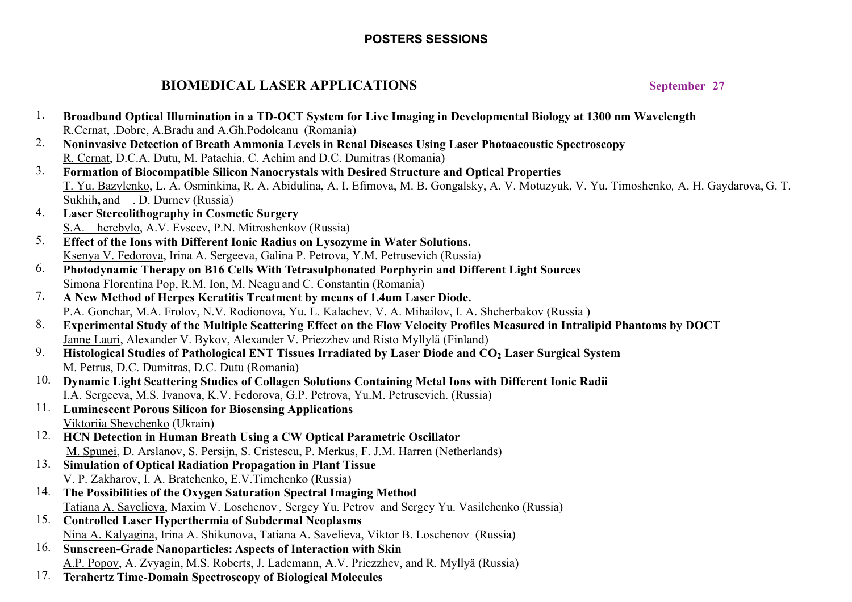## **POSTERS SESSIONS**

# **BIOMEDICAL LASER APPLICATIONS** September 27

| 1.  | Broadband Optical Illumination in a TD-OCT System for Live Imaging in Developmental Biology at 1300 nm Wavelength                                                                 |
|-----|-----------------------------------------------------------------------------------------------------------------------------------------------------------------------------------|
|     | R.Cernat, .Dobre, A.Bradu and A.Gh.Podoleanu (Romania)                                                                                                                            |
| 2.  | Noninvasive Detection of Breath Ammonia Levels in Renal Diseases Using Laser Photoacoustic Spectroscopy                                                                           |
|     | R. Cernat, D.C.A. Dutu, M. Patachia, C. Achim and D.C. Dumitras (Romania)                                                                                                         |
| 3.  | Formation of Biocompatible Silicon Nanocrystals with Desired Structure and Optical Properties                                                                                     |
|     | T. Yu. Bazylenko, L. A. Osminkina, R. A. Abidulina, A. I. Efimova, M. B. Gongalsky, A. V. Motuzyuk, V. Yu. Timoshenko, A. H. Gaydarova, G. T.<br>Sukhih, and . D. Durney (Russia) |
| 4.  | <b>Laser Stereolithography in Cosmetic Surgery</b>                                                                                                                                |
|     | S.A. herebylo, A.V. Evseev, P.N. Mitroshenkov (Russia)                                                                                                                            |
| 5.  | Effect of the Ions with Different Ionic Radius on Lysozyme in Water Solutions.                                                                                                    |
|     | Ksenya V. Fedorova, Irina A. Sergeeva, Galina P. Petrova, Y.M. Petrusevich (Russia)                                                                                               |
| 6.  | Photodynamic Therapy on B16 Cells With Tetrasulphonated Porphyrin and Different Light Sources                                                                                     |
|     | Simona Florentina Pop, R.M. Ion, M. Neagu and C. Constantin (Romania)                                                                                                             |
| 7.  | A New Method of Herpes Keratitis Treatment by means of 1.4um Laser Diode.                                                                                                         |
|     | P.A. Gonchar, M.A. Frolov, N.V. Rodionova, Yu. L. Kalachev, V. A. Mihailov, I. A. Shcherbakov (Russia)                                                                            |
| 8.  |                                                                                                                                                                                   |
|     | Experimental Study of the Multiple Scattering Effect on the Flow Velocity Profiles Measured in Intralipid Phantoms by DOCT                                                        |
| 9.  | Janne Lauri, Alexander V. Bykov, Alexander V. Priezzhev and Risto Myllylä (Finland)                                                                                               |
|     | Histological Studies of Pathological ENT Tissues Irradiated by Laser Diode and CO <sub>2</sub> Laser Surgical System                                                              |
|     | M. Petrus, D.C. Dumitras, D.C. Dutu (Romania)                                                                                                                                     |
|     | 10. Dynamic Light Scattering Studies of Collagen Solutions Containing Metal Ions with Different Ionic Radii                                                                       |
|     | I.A. Sergeeva, M.S. Ivanova, K.V. Fedorova, G.P. Petrova, Yu.M. Petrusevich. (Russia)                                                                                             |
|     | 11. Luminescent Porous Silicon for Biosensing Applications                                                                                                                        |
|     | Viktoriia Shevchenko (Ukrain)                                                                                                                                                     |
|     | 12. HCN Detection in Human Breath Using a CW Optical Parametric Oscillator                                                                                                        |
|     | M. Spunei, D. Arslanov, S. Persijn, S. Cristescu, P. Merkus, F. J.M. Harren (Netherlands)                                                                                         |
| 13. | <b>Simulation of Optical Radiation Propagation in Plant Tissue</b>                                                                                                                |
|     | V. P. Zakharov, I. A. Bratchenko, E.V. Timchenko (Russia)                                                                                                                         |
| 14. | The Possibilities of the Oxygen Saturation Spectral Imaging Method                                                                                                                |
|     | Tatiana A. Savelieva, Maxim V. Loschenov, Sergey Yu. Petrov and Sergey Yu. Vasilchenko (Russia)                                                                                   |
| 15. | <b>Controlled Laser Hyperthermia of Subdermal Neoplasms</b>                                                                                                                       |
|     | Nina A. Kalyagina, Irina A. Shikunova, Tatiana A. Savelieva, Viktor B. Loschenov (Russia)                                                                                         |
|     | 16. Sunscreen-Grade Nanoparticles: Aspects of Interaction with Skin                                                                                                               |
|     | A.P. Popov, A. Zvyagin, M.S. Roberts, J. Lademann, A.V. Priezzhev, and R. Myllyä (Russia)                                                                                         |
| 17. | <b>Terahertz Time-Domain Spectroscopy of Biological Molecules</b>                                                                                                                 |
|     |                                                                                                                                                                                   |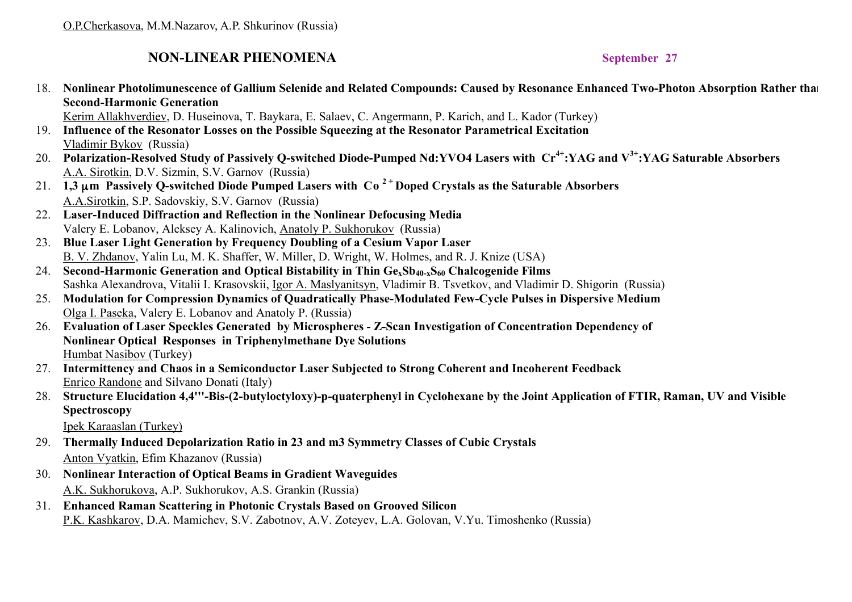## **NON-LINEAR PHENOMENA** September 27

18. **Nonlinear Photolimunescence of Gallium Selenide and Related Compounds: Caused by Resonance Enhanced Two-Photon Absorption Rather than Second-Harmonic Generation**

Kerim Allakhverdiev, D. Huseinova, T. Baykara, E. Salaev, C. Angermann, P. Karich, and L. Kador (Turkey)

- 19. **Influence of the Resonator Losses on the Possible Squeezing at the Resonator Parametrical Excitation** Vladimir Bykov (Russia)
- 20. **Polarization-Resolved Study of Passively Q-switched Diode-Pumped Nd:YVO4 Lasers with Cr4+:YAG and V3+:YAG Saturable Absorbers** A.A. Sirotkin, D.V. Sizmin, S.V. Garnov (Russia)
- 21. **1,3** µ**m Passively Q-switched Diode Pumped Lasers with Со 2 + Doped Crystals as the Saturable Absorbers** A.A.Sirotkin, S.P. Sadovskiy, S.V. Garnov (Russia)
- 22. **Laser-Induced Diffraction and Reflection in the Nonlinear Defocusing Media**  Valery E. Lobanov, Aleksey A. Kalinovich, Anatoly P. Sukhorukov (Russia)
- 23. **Blue Laser Light Generation by Frequency Doubling of a Cesium Vapor Laser**  B. V. Zhdanov, Yalin Lu, M. K. Shaffer, W. Miller, D. Wright, W. Holmes, and R. J. Knize (USA)
- 24. Second-Harmonic Generation and Optical Bistability in Thin Ge<sub>x</sub>Sb<sub>40-x</sub>S<sub>60</sub> Chalcogenide Films Sashka Alexandrova, Vitalii I. Krasovskii, Igor A. Maslyanitsyn, Vladimir B. Tsvetkov, and Vladimir D. Shigorin (Russia)
- 25. **Modulation for Compression Dynamics of Quadratically Phase-Modulated Few-Cycle Pulses in Dispersive Medium** Olga I. Paseka, Valery E. Lobanov and Anatoly P. (Russia)
- 26. **Evaluation of Laser Speckles Generated by Microspheres Z-Scan Investigation of Concentration Dependency of Nonlinear Optical Responses in Triphenylmethane Dye Solutions** Humbat Nasibov (Turkey)
- 27. **Intermittency and Chaos in a Semiconductor Laser Subjected to Strong Coherent and Incoherent Feedback** Enrico Randone and Silvano Donati (Italy)
- 28. **Structure Elucidation 4,4'''-Bis-(2-butyloctyloxy)-p-quaterphenyl in Cyclohexane by the Joint Application of FTIR, Raman, UV and Visible Spectroscopy**

Ipek Karaaslan (Turkey)

- 29. **Thermally Induced Depolarization Ratio in 23 and m3 Symmetry Classes of Cubic Crystals** Anton Vyatkin, Efim Khazanov (Russia)
- 30. **Nonlinear Interaction of Optical Beams in Gradient Waveguides**  A.K. Sukhorukova, A.P. Sukhorukov, A.S. Grankin (Russia)
- 31. **Enhanced Raman Scattering in Photonic Crystals Based on Grooved Silicon** P.K. Kashkarov, D.A. Mamichev, S.V. Zabotnov, A.V. Zoteyev, L.A. Golovan, V.Yu. Timoshenko (Russia)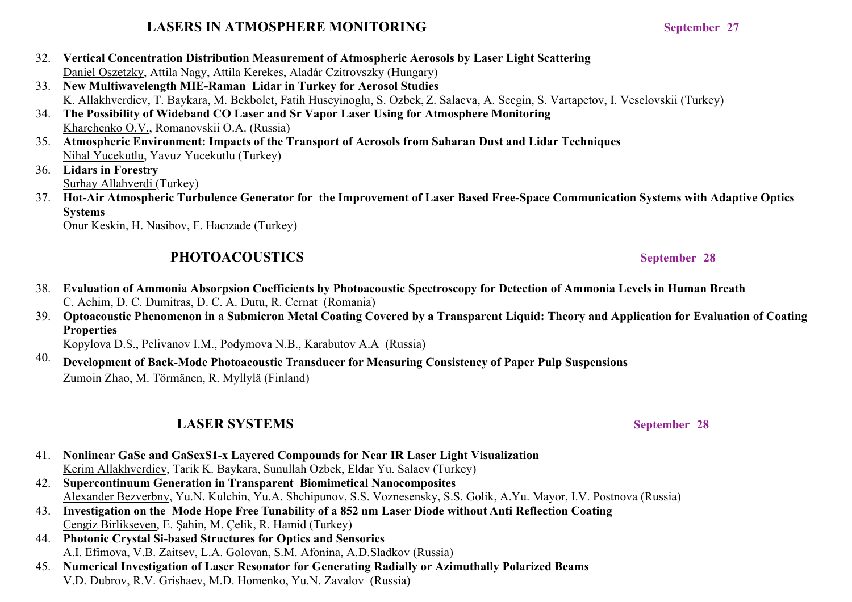## **LASERS IN ATMOSPHERE MONITORING September 27**

- 32. **Vertical Concentration Distribution Measurement of Atmospheric Aerosols by Laser Light Scattering** Daniel Oszetzky, Attila Nagy, Attila Kerekes, Aladár Czitrovszky (Hungary)
- 33. **New Multiwavelength MIE-Raman Lidar in Turkey for Aerosol Studies**  K. Allakhverdiev, T. Baykara, M. Bekbolet, Fatih Huseyinoglu, S. Ozbek, Z. Salaeva, A. Secgin, S. Vartapetov, I. Veselovskii (Turkey)
- 34. **The Possibility of Wideband CO Laser and Sr Vapor Laser Using for Atmosphere Monitoring**  Kharchenko O.V., Romanovskii O.A. (Russia)
- 35. **Atmospheric Environment: Impacts of the Transport of Aerosols from Saharan Dust and Lidar Techniques** Nihal Yucekutlu, Yavuz Yucekutlu (Turkey)
- 36. **Lidars in Forestry** Surhay Allahverdi (Turkey)
- 37. **Hot-Air Atmospheric Turbulence Generator for the Improvement of Laser Based Free-Space Communication Systems with Adaptive Optics Systems**

Onur Keskin, H. Nasibov, F. Hacızade (Turkey)

## PHOTOACOUSTICS September 28

- 38. **Evaluation of Ammonia Absorpsion Coefficients by Photoacoustic Spectroscopy for Detection of Ammonia Levels in Human Breath** C. Achim, D. C. Dumitras, D. C. A. Dutu, R. Cernat (Romania)
- 39. **Optoacoustic Phenomenon in a Submicron Metal Coating Covered by a Transparent Liquid: Theory and Application for Evaluation of Coating Properties**

Kopylova D.S., Pelivanov I.M., Podymova N.B., Karabutov A.A (Russia)

40. **Development of Back-Mode Photoacoustic Transducer for Measuring Consistency of Paper Pulp Suspensions** Zumoin Zhao, M. Törmänen, R. Myllylä (Finland)

## **LASER SYSTEMS** September 28

- 41. **Nonlinear GaSe and GaSexS1-x Layered Compounds for Near IR Laser Light Visualization** Kerim Allakhverdiev, Tarik K. Baykara, Sunullah Ozbek, Eldar Yu. Salaev (Turkey)
- 42. **Supercontinuum Generation in Transparent Biomimetical Nanocomposites**  Alexander Bezverbny, Yu.N. Kulchin, Yu.A. Shchipunov, S.S. Voznesensky, S.S. Golik, A.Yu. Mayor, I.V. Postnova (Russia)
- 43. **Investigation on the Mode Hope Free Tunability of a 852 nm Laser Diode without Anti Reflection Coating**  Cengiz Birlikseven, E. Şahin, M. Çelik, R. Hamid (Turkey)
- 44. **Photonic Crystal Si-based Structures for Optics and Sensorics** A.I. Efimova, V.B. Zaitsev, L.A. Golovan, S.M. Afonina, A.D.Sladkov (Russia)
- 45. **Numerical Investigation of Laser Resonator for Generating Radially or Azimuthally Polarized Beams** V.D. Dubrov, R.V. Grishaev, M.D. Homenko, Yu.N. Zavalov (Russia)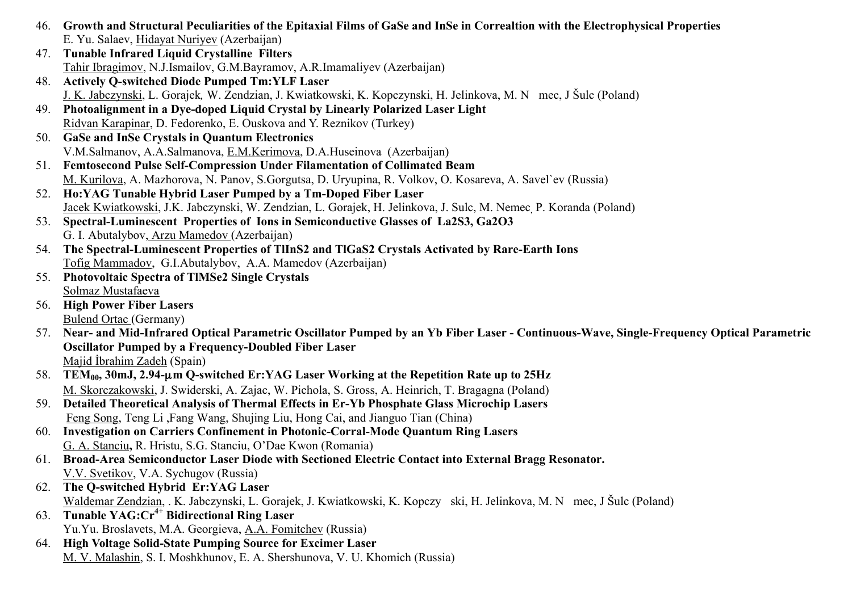- 46. **Growth and Structural Peculiarities of the Epitaxial Films of GaSe and InSe in Correaltion with the Electrophysical Properties** E. Yu. Salaev, Hidayat Nuriyev (Azerbaijan)
- 47. **Tunable Infrared Liquid Crystalline Filters** Tahir Ibragimov, N.J.Ismailov, G.M.Bayramov, A.R.Imamaliyev (Azerbaijan)
- 48. **Actively Q-switched Diode Pumped Tm:YLF Laser** J. K. Jabczynski, L. Gorajek, W. Zendzian, J. Kwiatkowski, K. Kopczynski, H. Jelinkova, M. N. mec, J Šulc (Poland)
- 49. **Photoalignment in a Dye-doped Liquid Crystal by Linearly Polarized Laser Light** Ridvan Karapinar, D. Fedorenko, E. Ouskova and Y. Reznikov (Turkey)
- 50. **GaSe and InSe Crystals in Quantum Electronics** V.M.Salmanov, A.A.Salmanova, E.M.Kerimova, D.A.Huseinova (Azerbaijan)
- 51. **Femtosecond Pulse Self-Compression Under Filamentation of Collimated Beam** M. Kurilova, A. Mazhorova, N. Panov, S.Gorgutsa, D. Uryupina, R. Volkov, O. Kosareva, A. Savel`ev (Russia)
- 52. **Ho:YAG Tunable Hybrid Laser Pumped by a Tm-Doped Fiber Laser** Jacek Kwiatkowski, J.K. Jabczynski, W. Zendzian, L. Gorajek, H. Jelinkova, J. Sulc, M. Nemec, P. Koranda (Poland)
- 53. **Spectral-Luminescent Properties of Ions in Semiconductive Glasses of La2S3, Ga2O3**
	- G. I. Abutalybov, Arzu Mamedov (Azerbaijan)
- 54. **The Spectral-Luminescent Properties of TlInS2 and TlGaS2 Crystals Activated by Rare-Earth Ions** Tofig Mammadov, G.I.Abutalybov, A.A. Mamedov (Azerbaijan)
- 55. **Photovoltaic Spectra of TlMSe2 Single Crystals** Solmaz Mustafaeva
- 56. **High Power Fiber Lasers** Bulend Ortac (Germany)
- 57. **Near- and Mid-Infrared Optical Parametric Oscillator Pumped by an Yb Fiber Laser Continuous-Wave, Single-Frequency Optical Parametric Oscillator Pumped by a Frequency-Doubled Fiber Laser**  Majid İbrahim Zadeh (Spain)
- 58. **TEM00, 30mJ, 2.94-**µ**m Q-switched Er:YAG Laser Working at the Repetition Rate up to 25Hz**  M. Skorczakowski, J. Swiderski, A. Zajac, W. Pichola, S. Gross, A. Heinrich, T. Bragagna (Poland)
- 59. **Detailed Theoretical Analysis of Thermal Effects in Er-Yb Phosphate Glass Microchip Lasers**  Feng Song, Teng Li ,Fang Wang, Shujing Liu, Hong Cai, and Jianguo Tian (China)
- 60. **Investigation on Carriers Confinement in Photonic-Corral-Mode Quantum Ring Lasers** G. A. Stanciu**,** R. Hristu, S.G. Stanciu, O'Dae Kwon (Romania)
- 61. **Broad-Area Semiconductor Laser Diode with Sectioned Electric Contact into External Bragg Resonator.** V.V. Svetikov, V.A. Sychugov (Russia)
- 62. **The Q-switched Hybrid Er:YAG Laser** Waldemar Zendzian, . K. Jabczynski, L. Gorajek, J. Kwiatkowski, K. Kopczy ski, H. Jelinkova, M. N. mec, J Šulc (Poland)
- 63. **Tunable YAG:Cr4+ Bidirectional Ring Laser**  Yu.Yu. Broslavets, M.A. Georgieva, A.A. Fomitchev (Russia)
- 64. **High Voltage Solid-State Pumping Source for Excimer Laser**  M. V. Malashin, S. I. Moshkhunov, E. A. Shershunova, V. U. Khomich (Russia)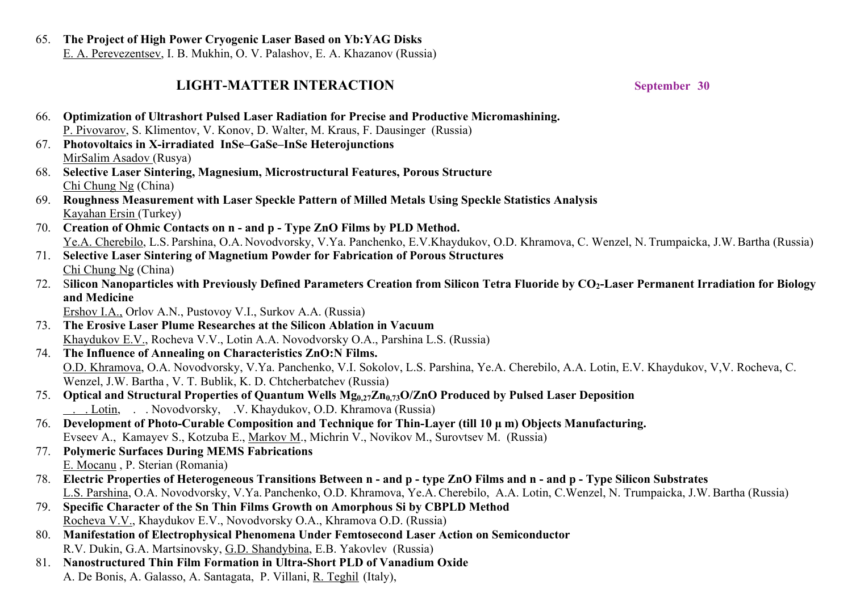65. **The Project of High Power Cryogenic Laser Based on Yb:YAG Disks** E. A. Perevezentsev, I. B. Mukhin, O. V. Palashov, E. A. Khazanov (Russia)

## **LIGHT-MATTER INTERACTION September 30**

66. **Optimization of Ultrashort Pulsed Laser Radiation for Precise and Productive Micromashining.** P. Pivovarov, S. Klimentov, V. Konov, D. Walter, M. Kraus, F. Dausinger (Russia) 67. **Photovoltaics in X-irradiated InSe–GaSe–InSe Heterojunctions** MirSalim Asadov (Rusya) 68. **Selective Laser Sintering, Magnesium, Microstructural Features, Porous Structure** Chi Chung Ng (China) 69. **Roughness Measurement with Laser Speckle Pattern of Milled Metals Using Speckle Statistics Analysis** Kayahan Ersin (Turkey) 70. **Creation of Ohmic Contacts on n - and p - Type ZnO Films by PLD Method.** Ye.A. Cherebilo, L.S. Parshina, O.A. Novodvorsky, V.Ya. Panchenko, E.V.Khaydukov, O.D. Khramova, C. Wenzel, N. Trumpaicka, J.W.Bartha (Russia) 71. **Selective Laser Sintering of Magnetium Powder for Fabrication of Porous Structures** Chi Chung Ng (China) 72. Silicon Nanoparticles with Previously Defined Parameters Creation from Silicon Tetra Fluoride by CO<sub>2</sub>-Laser Permanent Irradiation for Biology **and Medicine**  Ershov I.A., Orlov A.N., Pustovoy V.I., Surkov A.A. (Russia) 73. **The Erosive Laser Plume Researches at the Silicon Ablation in Vacuum** Khaydukov E.V., Rocheva V.V., Lotin A.A. Novodvorsky O.A., Parshina L.S. (Russia) 74. **The Influence of Annealing on Characteristics ZnO:N Films.** O.D. Khramova, O.A. Novodvorsky, V.Ya. Panchenko, V.I. Sokolov, L.S. Parshina, Ye.A. Cherebilo, A.A. Lotin, E.V. Khaydukov, V,V. Rocheva, C. Wenzel, J.W. Bartha , V. T. Bublik, K. D. Chtcherbatchev (Russia) 75. **Optical and Structural Properties of Quantum Wells Mg<sub>0.27</sub>Zn<sub>0.73</sub>O/ZnO Produced by Pulsed Laser Deposition** .. Lotin, .. Novodvorsky, .V. Khaydukov, O.D. Khramova (Russia) 76. **Development of Photo-Curable Composition and Technique for Thin-Layer (till 10 µ m) Objects Manufacturing.** Evseev A., Kamayev S., Kotzuba E., Markov M., Michrin V., Novikov M., Surovtsev M. (Russia) 77. **Polymeric Surfaces During MEMS Fabrications** E. Mocanu , P. Sterian (Romania) 78. **Electric Properties of Heterogeneous Transitions Between n - and p - type ZnO Films and n - and p - Type Silicon Substrates**  L.S. Parshina, O.A. Novodvorsky, V.Ya. Panchenko, O.D. Khramova, Ye.A.Cherebilo, A.A. Lotin, C.Wenzel, N. Trumpaicka, J.W.Bartha (Russia) 79. **Specific Character of the Sn Thin Films Growth on Amorphous Si by CBPLD Method** Rocheva V.V., Khaydukov E.V., Novodvorsky O.A., Khramova O.D. (Russia) 80. **Manifestation of Electrophysical Phenomena Under Femtosecond Laser Action on Semiconductor** R.V. Dukin, G.A. Martsinovsky, G.D. Shandybina, E.B. Yakovlev (Russia) 81. **Nanostructured Thin Film Formation in Ultra-Short PLD of Vanadium Oxide** A. De Bonis, A. Galasso, A. Santagata, P. Villani, R. Teghil (Italy),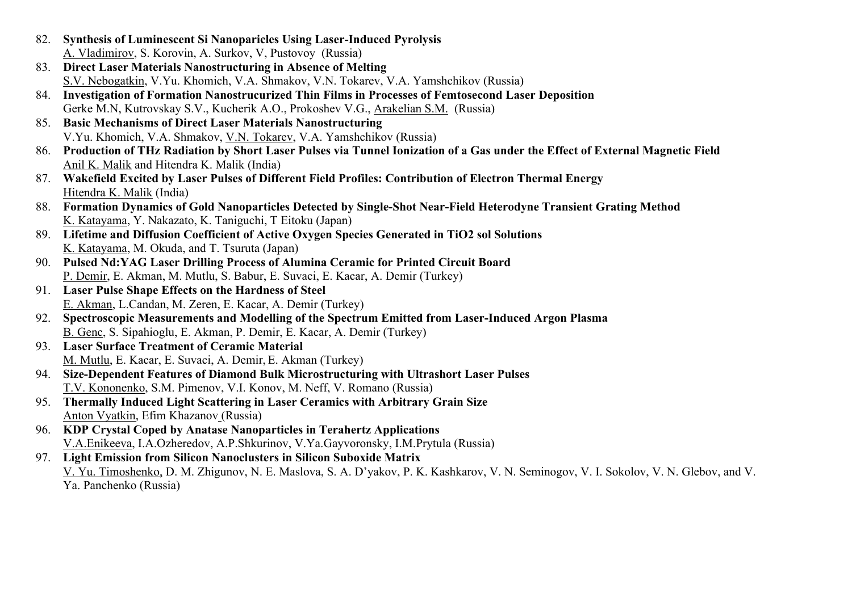- 82. **Synthesis of Luminescent Si Nanoparicles Using Laser-Induced Pyrolysis**  A. Vladimirov, S. Korovin, A. Surkov, V, Pustovoy (Russia)
- 83. **Direct Laser Materials Nanostructuring in Absence of Melting** S.V. Nebogatkin, V.Yu. Khomich, V.A. Shmakov, V.N. Tokarev, V.A. Yamshchikov (Russia)
- 84. **Investigation of Formation Nanostrucurized Thin Films in Processes of Femtosecond Laser Deposition** Gerke M.N, Kutrovskay S.V., Kucherik A.O., Prokoshev V.G., Arakelian S.M. (Russia)
- 85. **Basic Mechanisms of Direct Laser Materials Nanostructuring** V.Yu. Khomich, V.A. Shmakov, V.N. Tokarev, V.A. Yamshchikov (Russia)
- 86. **Production of THz Radiation by Short Laser Pulses via Tunnel Ionization of a Gas under the Effect of External Magnetic Field** Anil K. Malik and Hitendra K. Malik (India)
- 87. **Wakefield Excited by Laser Pulses of Different Field Profiles: Contribution of Electron Thermal Energy** Hitendra K. Malik (India)
- 88. **Formation Dynamics of Gold Nanoparticles Detected by Single-Shot Near-Field Heterodyne Transient Grating Method** K. Katayama, Y. Nakazato, K. Taniguchi, T Eitoku (Japan)
- 89. **Lifetime and Diffusion Coefficient of Active Oxygen Species Generated in TiO2 sol Solutions** K. Katayama, M. Okuda, and T. Tsuruta (Japan)
- 90. **Pulsed Nd:YAG Laser Drilling Process of Alumina Ceramic for Printed Circuit Board** P. Demir, E. Akman, M. Mutlu, S. Babur, E. Suvaci, E. Kacar, A. Demir (Turkey)
- 91. **Laser Pulse Shape Effects on the Hardness of Steel** E. Akman, L.Candan, M. Zeren, E. Kacar, A. Demir (Turkey)
- 92. **Spectroscopic Measurements and Modelling of the Spectrum Emitted from Laser-Induced Argon Plasma**  B. Genc, S. Sipahioglu, E. Akman, P. Demir, E. Kacar, A. Demir (Turkey)
- 93. **Laser Surface Treatment of Ceramic Material**  M. Mutlu, E. Kacar, E. Suvaci, A. Demir, E. Akman (Turkey)
- 94. **Size-Dependent Features of Diamond Bulk Microstructuring with Ultrashort Laser Pulses** T.V. Kononenko, S.M. Pimenov, V.I. Konov, M. Neff, V. Romano (Russia)
- 95. **Thermally Induced Light Scattering in Laser Ceramics with Arbitrary Grain Size** Anton Vyatkin, Efim Khazanov (Russia)
- 96. **KDP Crystal Coped by Anatase Nanoparticles in Terahertz Applications** V.A.Enikeeva, I.A.Ozheredov, A.P.Shkurinov, V.Ya.Gayvoronsky, I.M.Prytula (Russia)
- 97. **Light Emission from Silicon Nanoclusters in Silicon Suboxide Matrix** V. Yu. Timoshenko, D. M. Zhigunov, N. E. Maslova, S. A. D'yakov, P. K. Kashkarov, V. N. Seminogov, V. I. Sokolov, V. N. Glebov, and V. Ya. Panchenko (Russia)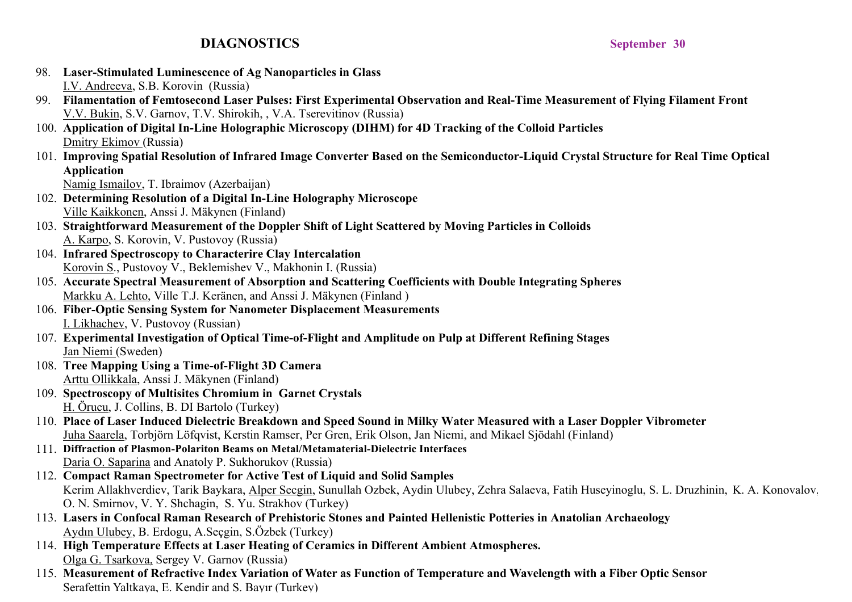## **DIAGNOSTICS** September 30

- 98. **Laser-Stimulated Luminescence of Ag Nanoparticles in Glass** I.V. Andreeva, S.B. Korovin (Russia)
- 99. **Filamentation of Femtosecond Laser Pulses: First Experimental Observation and Real-Time Measurement of Flying Filament Front** V.V. Bukin, S.V. Garnov, T.V. Shirokih, , V.A. Tserevitinov (Russia)
- 100. **Application of Digital In-Line Holographic Microscopy (DIHM) for 4D Tracking of the Colloid Particles** Dmitry Ekimov (Russia)
- 101. **Improving Spatial Resolution of Infrared Image Converter Based on the Semiconductor-Liquid Crystal Structure for Real Time Optical Application**

Namig Ismailov, T. Ibraimov (Azerbaijan)

- 102. **Determining Resolution of a Digital In-Line Holography Microscope**  Ville Kaikkonen, Anssi J. Mäkynen (Finland)
- 103. **Straightforward Measurement of the Doppler Shift of Light Scattered by Moving Particles in Colloids** A. Karpo, S. Korovin, V. Pustovoy (Russia)
- 104. **Infrared Spectroscopy to Characterire Clay Intercalation** Korovin S., Pustovoy V., Beklemishev V., Makhonin I. (Russia)
- 105. **Accurate Spectral Measurement of Absorption and Scattering Coefficients with Double Integrating Spheres** Markku A. Lehto, Ville T.J. Keränen, and Anssi J. Mäkynen (Finland )
- 106. **Fiber-Optic Sensing System for Nanometer Displacement Measurements** I. Likhachev, V. Pustovoy (Russian)
- 107. **Experimental Investigation of Optical Time-of-Flight and Amplitude on Pulp at Different Refining Stages** Jan Niemi (Sweden)
- 108. **Tree Mapping Using a Time-of-Flight 3D Camera** Arttu Ollikkala, Anssi J. Mäkynen (Finland)
- 109. **Spectroscopy of Multisites Chromium in Garnet Crystals** H. Örucu, J. Collins, B. DI Bartolo (Turkey)
- 110. **Place of Laser Induced Dielectric Breakdown and Speed Sound in Milky Water Measured with a Laser Doppler Vibrometer**  Juha Saarela, Torbjörn Löfqvist, Kerstin Ramser, Per Gren, Erik Olson, Jan Niemi, and Mikael Sjödahl (Finland)
- 111. **Diffraction of Plasmon-Polariton Beams on Metal/Metamaterial-Dielectric Interfaces** Daria O. Saparina and Anatoly P. Sukhorukov (Russia)
- 112. **Compact Raman Spectrometer for Active Test of Liquid and Solid Samples**  Kerim Allakhverdiev, Tarik Baykara, Alper Secgin, Sunullah Ozbek, Aydin Ulubey, Zehra Salaeva, Fatih Huseyinoglu, S. L. Druzhinin, K. A. Konovalov, O. N. Smirnov, V. Y. Shchagin, S. Yu. Strakhov (Turkey)
- 113. **Lasers in Confocal Raman Research of Prehistoric Stones and Painted Hellenistic Potteries in Anatolian Archaeology** Aydın Ulubey, B. Erdogu, A.Seçgin, S.Özbek (Turkey)
- 114. **High Temperature Effects at Laser Heating of Ceramics in Different Ambient Atmospheres.** Olga G. Tsarkova, Sergey V. Garnov (Russia)
- 115. **Measurement of Refractive Index Variation of Water as Function of Temperature and Wavelength with a Fiber Optic Sensor** Serafettin Yaltkaya, E. Kendir and S. Bayır (Turkey)